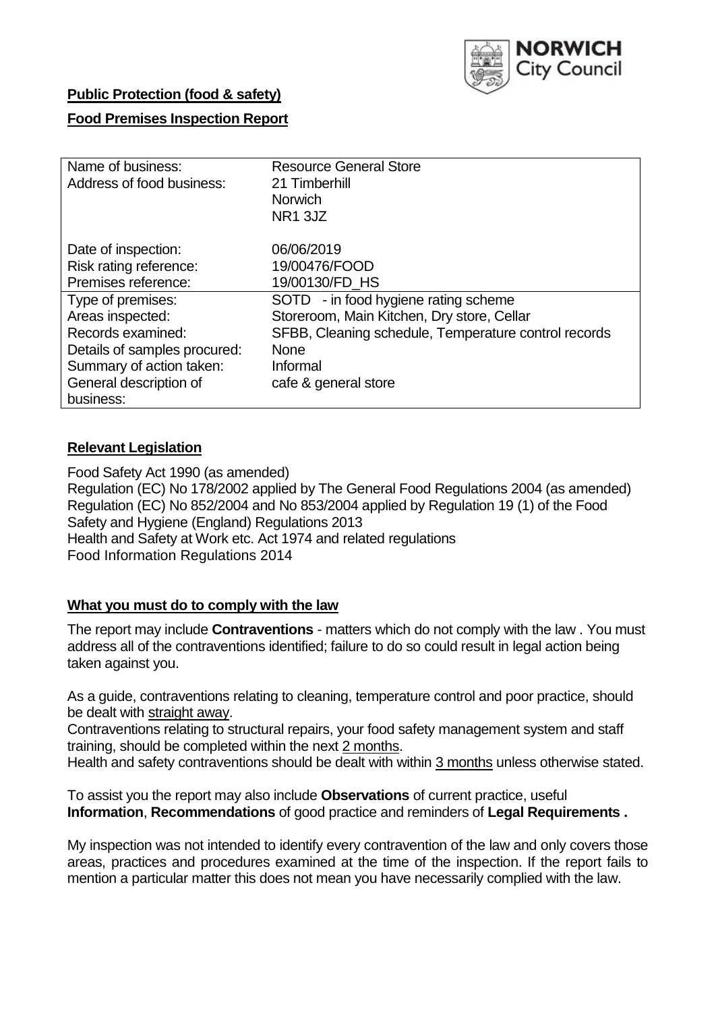

### **Public Protection (food & safety)**

### **Food Premises Inspection Report**

| Name of business:            | <b>Resource General Store</b>                        |
|------------------------------|------------------------------------------------------|
| Address of food business:    | 21 Timberhill                                        |
|                              | <b>Norwich</b>                                       |
|                              | NR <sub>1</sub> 3JZ                                  |
| Date of inspection:          | 06/06/2019                                           |
| Risk rating reference:       | 19/00476/FOOD                                        |
| Premises reference:          | 19/00130/FD HS                                       |
| Type of premises:            | SOTD - in food hygiene rating scheme                 |
| Areas inspected:             | Storeroom, Main Kitchen, Dry store, Cellar           |
| Records examined:            | SFBB, Cleaning schedule, Temperature control records |
| Details of samples procured: | <b>None</b>                                          |
| Summary of action taken:     | Informal                                             |
| General description of       | cafe & general store                                 |
| business:                    |                                                      |

### **Relevant Legislation**

Food Safety Act 1990 (as amended) Regulation (EC) No 178/2002 applied by The General Food Regulations 2004 (as amended) Regulation (EC) No 852/2004 and No 853/2004 applied by Regulation 19 (1) of the Food Safety and Hygiene (England) Regulations 2013 Health and Safety at Work etc. Act 1974 and related regulations Food Information Regulations 2014

### **What you must do to comply with the law**

The report may include **Contraventions** - matters which do not comply with the law . You must address all of the contraventions identified; failure to do so could result in legal action being taken against you.

As a guide, contraventions relating to cleaning, temperature control and poor practice, should be dealt with straight away.

Contraventions relating to structural repairs, your food safety management system and staff training, should be completed within the next 2 months.

Health and safety contraventions should be dealt with within 3 months unless otherwise stated.

To assist you the report may also include **Observations** of current practice, useful **Information**, **Recommendations** of good practice and reminders of **Legal Requirements .**

My inspection was not intended to identify every contravention of the law and only covers those areas, practices and procedures examined at the time of the inspection. If the report fails to mention a particular matter this does not mean you have necessarily complied with the law.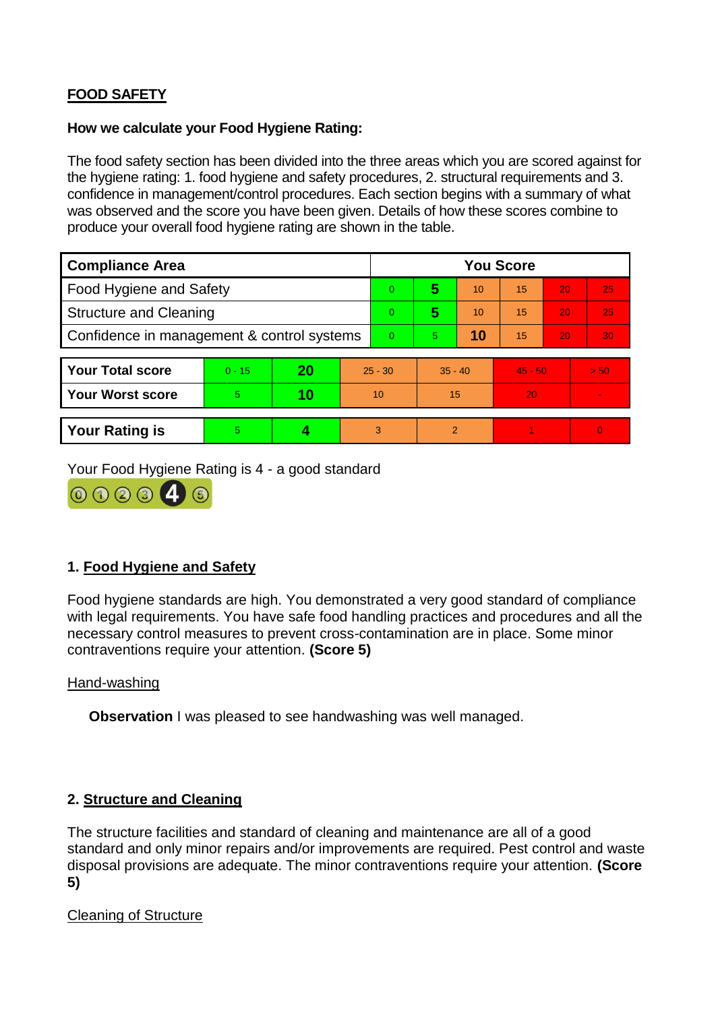# **FOOD SAFETY**

### **How we calculate your Food Hygiene Rating:**

The food safety section has been divided into the three areas which you are scored against for the hygiene rating: 1. food hygiene and safety procedures, 2. structural requirements and 3. confidence in management/control procedures. Each section begins with a summary of what was observed and the score you have been given. Details of how these scores combine to produce your overall food hygiene rating are shown in the table.

| <b>Compliance Area</b>                     |          |    |           | <b>You Score</b> |                |    |           |    |          |  |  |
|--------------------------------------------|----------|----|-----------|------------------|----------------|----|-----------|----|----------|--|--|
| Food Hygiene and Safety                    |          |    |           | $\Omega$         | 5              | 10 | 15        | 20 | 25       |  |  |
| <b>Structure and Cleaning</b>              |          |    |           | $\Omega$         | 5              | 10 | 15        | 20 | 25       |  |  |
| Confidence in management & control systems |          |    |           | $\Omega$         | 5              | 10 | 15        | 20 | 30       |  |  |
|                                            |          |    |           |                  |                |    |           |    |          |  |  |
| <b>Your Total score</b>                    | $0 - 15$ | 20 | $25 - 30$ |                  | $35 - 40$      |    | $45 - 50$ |    | > 50     |  |  |
| <b>Your Worst score</b>                    | 5.       | 10 | 10        |                  | 15             |    | 20        |    |          |  |  |
|                                            |          |    |           |                  |                |    |           |    |          |  |  |
| <b>Your Rating is</b>                      | 5        |    |           | 3                | $\overline{2}$ |    |           |    | $\Omega$ |  |  |

Your Food Hygiene Rating is 4 - a good standard



## **1. Food Hygiene and Safety**

Food hygiene standards are high. You demonstrated a very good standard of compliance with legal requirements. You have safe food handling practices and procedures and all the necessary control measures to prevent cross-contamination are in place. Some minor contraventions require your attention. **(Score 5)**

## Hand-washing

**Observation I** was pleased to see handwashing was well managed.

## **2. Structure and Cleaning**

The structure facilities and standard of cleaning and maintenance are all of a good standard and only minor repairs and/or improvements are required. Pest control and waste disposal provisions are adequate. The minor contraventions require your attention. **(Score 5)**

## Cleaning of Structure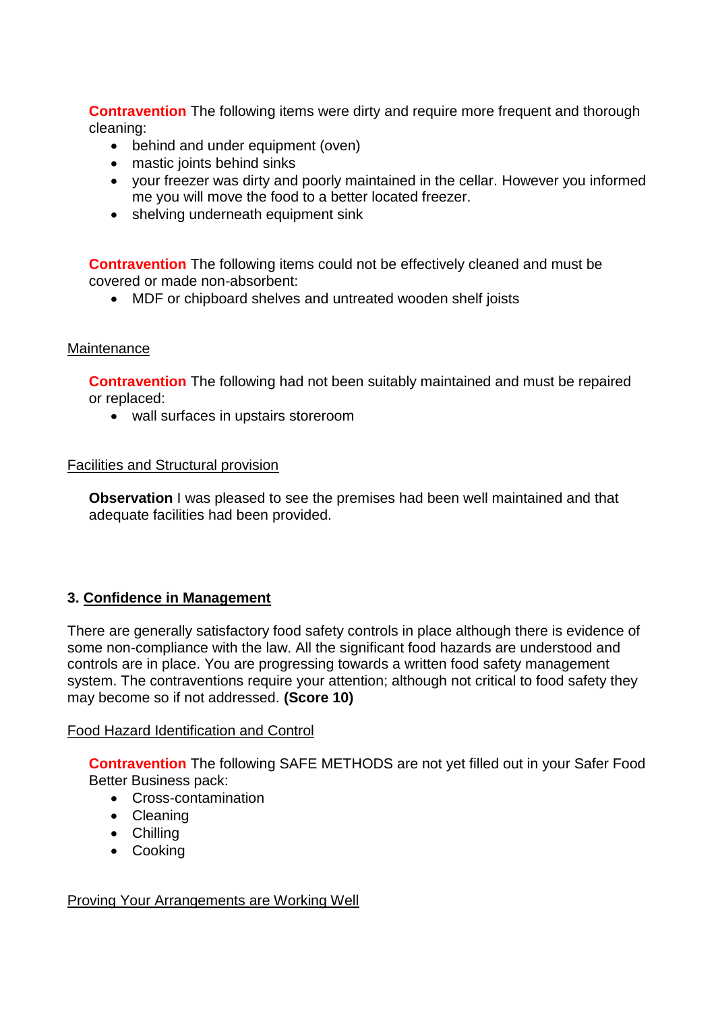**Contravention** The following items were dirty and require more frequent and thorough cleaning:

- behind and under equipment (oven)
- mastic joints behind sinks
- your freezer was dirty and poorly maintained in the cellar. However you informed me you will move the food to a better located freezer.
- shelving underneath equipment sink

**Contravention** The following items could not be effectively cleaned and must be covered or made non-absorbent:

MDF or chipboard shelves and untreated wooden shelf joists

### **Maintenance**

**Contravention** The following had not been suitably maintained and must be repaired or replaced:

wall surfaces in upstairs storeroom

#### Facilities and Structural provision

**Observation** I was pleased to see the premises had been well maintained and that adequate facilities had been provided.

### **3. Confidence in Management**

There are generally satisfactory food safety controls in place although there is evidence of some non-compliance with the law. All the significant food hazards are understood and controls are in place. You are progressing towards a written food safety management system. The contraventions require your attention; although not critical to food safety they may become so if not addressed. **(Score 10)**

### Food Hazard Identification and Control

**Contravention** The following SAFE METHODS are not yet filled out in your Safer Food Better Business pack:

- Cross-contamination
- Cleaning
- Chilling
- Cooking

### **Proving Your Arrangements are Working Well**